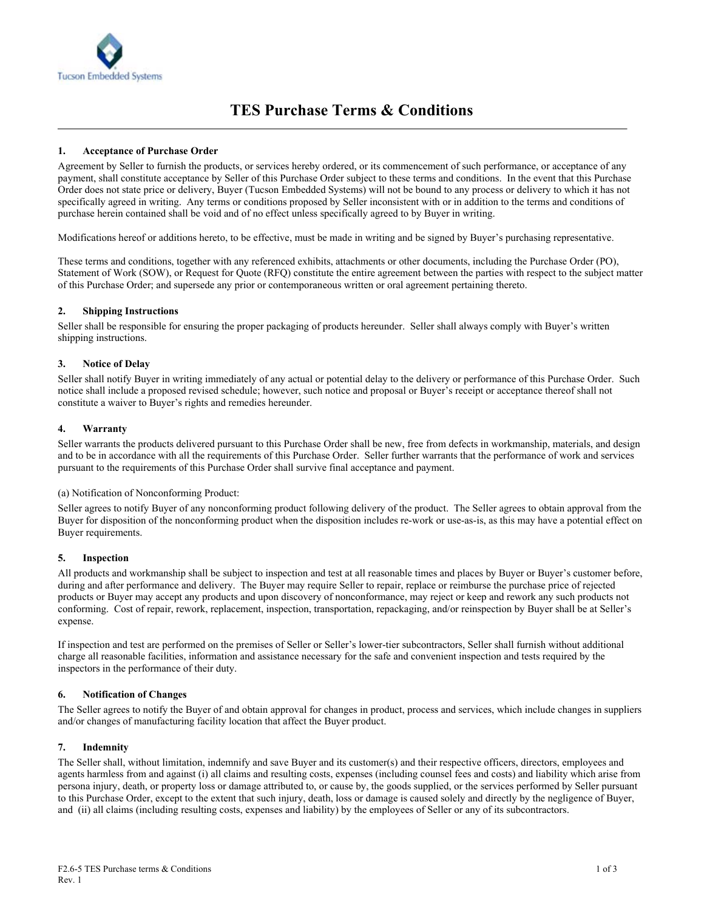

# **1. Acceptance of Purchase Order**

Agreement by Seller to furnish the products, or services hereby ordered, or its commencement of such performance, or acceptance of any payment, shall constitute acceptance by Seller of this Purchase Order subject to these terms and conditions. In the event that this Purchase Order does not state price or delivery, Buyer (Tucson Embedded Systems) will not be bound to any process or delivery to which it has not specifically agreed in writing. Any terms or conditions proposed by Seller inconsistent with or in addition to the terms and conditions of purchase herein contained shall be void and of no effect unless specifically agreed to by Buyer in writing.

Modifications hereof or additions hereto, to be effective, must be made in writing and be signed by Buyer's purchasing representative.

These terms and conditions, together with any referenced exhibits, attachments or other documents, including the Purchase Order (PO), Statement of Work (SOW), or Request for Quote (RFQ) constitute the entire agreement between the parties with respect to the subject matter of this Purchase Order; and supersede any prior or contemporaneous written or oral agreement pertaining thereto.

### **2. Shipping Instructions**

Seller shall be responsible for ensuring the proper packaging of products hereunder. Seller shall always comply with Buyer's written shipping instructions.

### **3. Notice of Delay**

Seller shall notify Buyer in writing immediately of any actual or potential delay to the delivery or performance of this Purchase Order. Such notice shall include a proposed revised schedule; however, such notice and proposal or Buyer's receipt or acceptance thereof shall not constitute a waiver to Buyer's rights and remedies hereunder.

### **4. Warranty**

Seller warrants the products delivered pursuant to this Purchase Order shall be new, free from defects in workmanship, materials, and design and to be in accordance with all the requirements of this Purchase Order. Seller further warrants that the performance of work and services pursuant to the requirements of this Purchase Order shall survive final acceptance and payment.

#### (a) Notification of Nonconforming Product:

Seller agrees to notify Buyer of any nonconforming product following delivery of the product. The Seller agrees to obtain approval from the Buyer for disposition of the nonconforming product when the disposition includes re-work or use-as-is, as this may have a potential effect on Buyer requirements.

#### **5. Inspection**

All products and workmanship shall be subject to inspection and test at all reasonable times and places by Buyer or Buyer's customer before, during and after performance and delivery. The Buyer may require Seller to repair, replace or reimburse the purchase price of rejected products or Buyer may accept any products and upon discovery of nonconformance, may reject or keep and rework any such products not conforming. Cost of repair, rework, replacement, inspection, transportation, repackaging, and/or reinspection by Buyer shall be at Seller's expense.

If inspection and test are performed on the premises of Seller or Seller's lower-tier subcontractors, Seller shall furnish without additional charge all reasonable facilities, information and assistance necessary for the safe and convenient inspection and tests required by the inspectors in the performance of their duty.

#### **6. Notification of Changes**

The Seller agrees to notify the Buyer of and obtain approval for changes in product, process and services, which include changes in suppliers and/or changes of manufacturing facility location that affect the Buyer product.

#### **7. Indemnity**

The Seller shall, without limitation, indemnify and save Buyer and its customer(s) and their respective officers, directors, employees and agents harmless from and against (i) all claims and resulting costs, expenses (including counsel fees and costs) and liability which arise from persona injury, death, or property loss or damage attributed to, or cause by, the goods supplied, or the services performed by Seller pursuant to this Purchase Order, except to the extent that such injury, death, loss or damage is caused solely and directly by the negligence of Buyer, and (ii) all claims (including resulting costs, expenses and liability) by the employees of Seller or any of its subcontractors.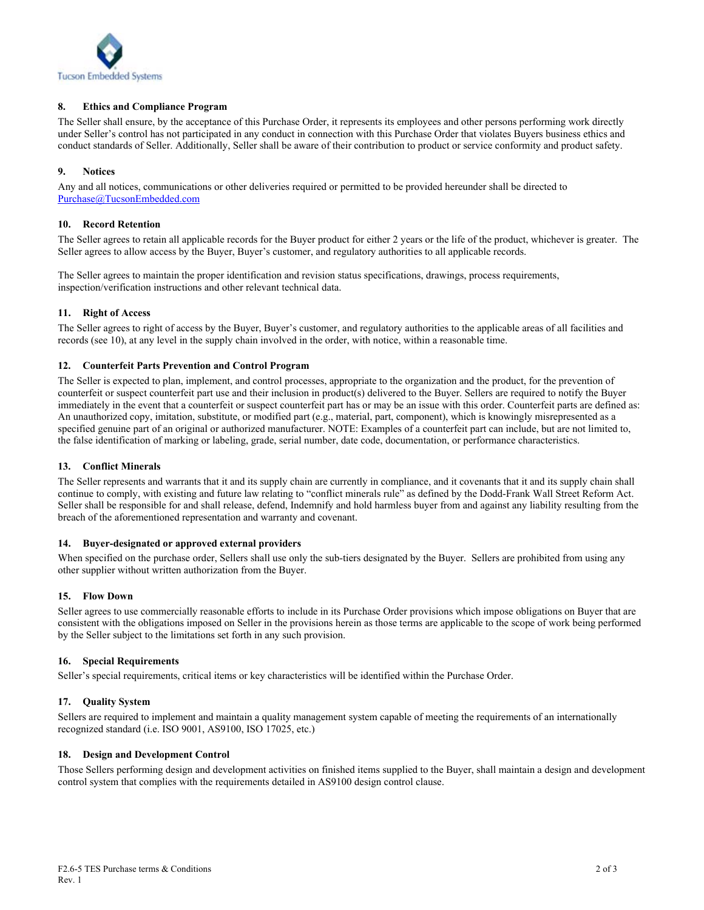

# **8. Ethics and Compliance Program**

The Seller shall ensure, by the acceptance of this Purchase Order, it represents its employees and other persons performing work directly under Seller's control has not participated in any conduct in connection with this Purchase Order that violates Buyers business ethics and conduct standards of Seller. Additionally, Seller shall be aware of their contribution to product or service conformity and product safety.

# **9. Notices**

Any and all notices, communications or other deliveries required or permitted to be provided hereunder shall be directed to Purchase@TucsonEmbedded.com

#### **10. Record Retention**

The Seller agrees to retain all applicable records for the Buyer product for either 2 years or the life of the product, whichever is greater. The Seller agrees to allow access by the Buyer, Buyer's customer, and regulatory authorities to all applicable records.

The Seller agrees to maintain the proper identification and revision status specifications, drawings, process requirements, inspection/verification instructions and other relevant technical data.

### **11. Right of Access**

The Seller agrees to right of access by the Buyer, Buyer's customer, and regulatory authorities to the applicable areas of all facilities and records (see 10), at any level in the supply chain involved in the order, with notice, within a reasonable time.

### **12. Counterfeit Parts Prevention and Control Program**

The Seller is expected to plan, implement, and control processes, appropriate to the organization and the product, for the prevention of counterfeit or suspect counterfeit part use and their inclusion in product(s) delivered to the Buyer. Sellers are required to notify the Buyer immediately in the event that a counterfeit or suspect counterfeit part has or may be an issue with this order. Counterfeit parts are defined as: An unauthorized copy, imitation, substitute, or modified part (e.g., material, part, component), which is knowingly misrepresented as a specified genuine part of an original or authorized manufacturer. NOTE: Examples of a counterfeit part can include, but are not limited to, the false identification of marking or labeling, grade, serial number, date code, documentation, or performance characteristics.

#### **13. Conflict Minerals**

The Seller represents and warrants that it and its supply chain are currently in compliance, and it covenants that it and its supply chain shall continue to comply, with existing and future law relating to "conflict minerals rule" as defined by the Dodd-Frank Wall Street Reform Act. Seller shall be responsible for and shall release, defend, Indemnify and hold harmless buyer from and against any liability resulting from the breach of the aforementioned representation and warranty and covenant.

#### **14. Buyer-designated or approved external providers**

When specified on the purchase order, Sellers shall use only the sub-tiers designated by the Buyer. Sellers are prohibited from using any other supplier without written authorization from the Buyer.

#### **15. Flow Down**

Seller agrees to use commercially reasonable efforts to include in its Purchase Order provisions which impose obligations on Buyer that are consistent with the obligations imposed on Seller in the provisions herein as those terms are applicable to the scope of work being performed by the Seller subject to the limitations set forth in any such provision.

#### **16. Special Requirements**

Seller's special requirements, critical items or key characteristics will be identified within the Purchase Order.

#### **17. Quality System**

Sellers are required to implement and maintain a quality management system capable of meeting the requirements of an internationally recognized standard (i.e. ISO 9001, AS9100, ISO 17025, etc.)

#### **18. Design and Development Control**

Those Sellers performing design and development activities on finished items supplied to the Buyer, shall maintain a design and development control system that complies with the requirements detailed in AS9100 design control clause.